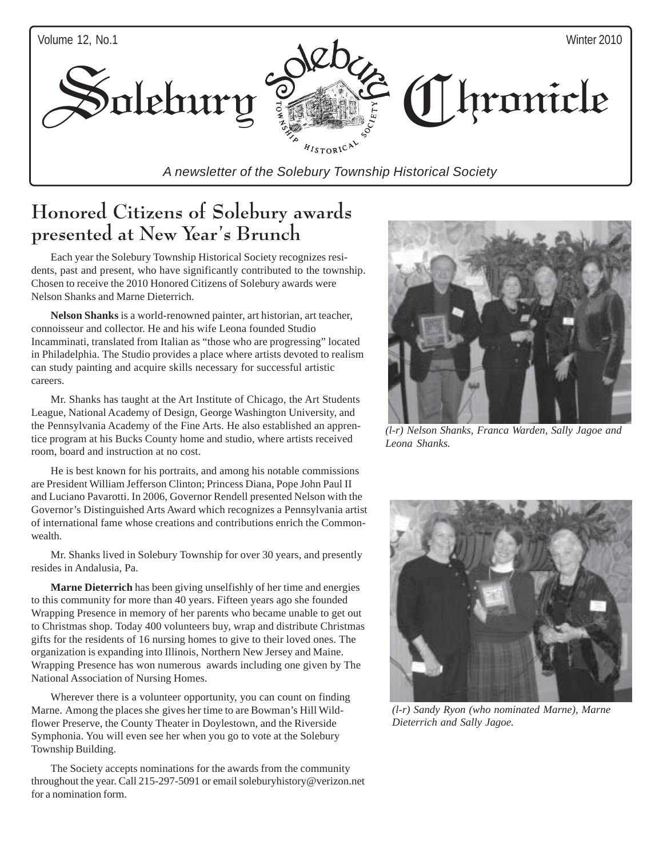

### Honored Citizens of Solebury awards presented at New Year's Brunch

Each year the Solebury Township Historical Society recognizes residents, past and present, who have significantly contributed to the township. Chosen to receive the 2010 Honored Citizens of Solebury awards were Nelson Shanks and Marne Dieterrich.

**Nelson Shanks** is a world-renowned painter, art historian, art teacher, connoisseur and collector. He and his wife Leona founded Studio Incamminati, translated from Italian as "those who are progressing" located in Philadelphia. The Studio provides a place where artists devoted to realism can study painting and acquire skills necessary for successful artistic careers.

Mr. Shanks has taught at the Art Institute of Chicago, the Art Students League, National Academy of Design, George Washington University, and the Pennsylvania Academy of the Fine Arts. He also established an apprentice program at his Bucks County home and studio, where artists received room, board and instruction at no cost.

He is best known for his portraits, and among his notable commissions are President William Jefferson Clinton; Princess Diana, Pope John Paul II and Luciano Pavarotti. In 2006, Governor Rendell presented Nelson with the Governor's Distinguished Arts Award which recognizes a Pennsylvania artist of international fame whose creations and contributions enrich the Commonwealth.

Mr. Shanks lived in Solebury Township for over 30 years, and presently resides in Andalusia, Pa.

**Marne Dieterrich** has been giving unselfishly of her time and energies to this community for more than 40 years. Fifteen years ago she founded Wrapping Presence in memory of her parents who became unable to get out to Christmas shop. Today 400 volunteers buy, wrap and distribute Christmas gifts for the residents of 16 nursing homes to give to their loved ones. The organization is expanding into Illinois, Northern New Jersey and Maine. Wrapping Presence has won numerous awards including one given by The National Association of Nursing Homes.

Wherever there is a volunteer opportunity, you can count on finding Marne. Among the places she gives her time to are Bowman's Hill Wildflower Preserve, the County Theater in Doylestown, and the Riverside Symphonia. You will even see her when you go to vote at the Solebury Township Building.

The Society accepts nominations for the awards from the community throughout the year. Call 215-297-5091 or email soleburyhistory@verizon.net for a nomination form.



*(l-r) Nelson Shanks, Franca Warden, Sally Jagoe and Leona Shanks.*



*(l-r) Sandy Ryon (who nominated Marne), Marne Dieterrich and Sally Jagoe.*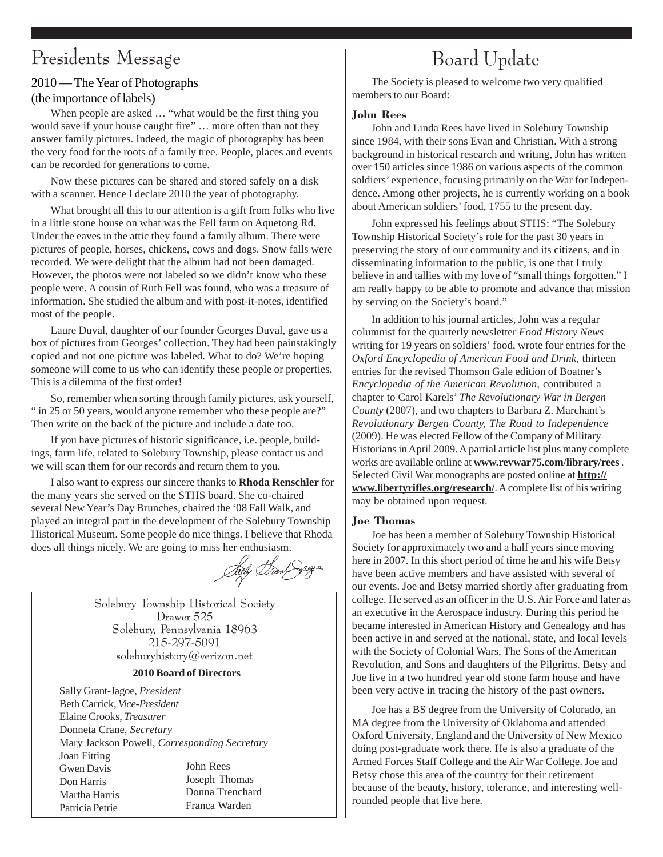### Presidents Message

#### 2010 — The Year of Photographs

#### (the importance of labels)

When people are asked … "what would be the first thing you would save if your house caught fire" … more often than not they answer family pictures. Indeed, the magic of photography has been the very food for the roots of a family tree. People, places and events can be recorded for generations to come.

Now these pictures can be shared and stored safely on a disk with a scanner. Hence I declare 2010 the year of photography.

What brought all this to our attention is a gift from folks who live in a little stone house on what was the Fell farm on Aquetong Rd. Under the eaves in the attic they found a family album. There were pictures of people, horses, chickens, cows and dogs. Snow falls were recorded. We were delight that the album had not been damaged. However, the photos were not labeled so we didn't know who these people were. A cousin of Ruth Fell was found, who was a treasure of information. She studied the album and with post-it-notes, identified most of the people.

Laure Duval, daughter of our founder Georges Duval, gave us a box of pictures from Georges' collection. They had been painstakingly copied and not one picture was labeled. What to do? We're hoping someone will come to us who can identify these people or properties. This is a dilemma of the first order!

So, remember when sorting through family pictures, ask yourself, " in 25 or 50 years, would anyone remember who these people are?" Then write on the back of the picture and include a date too.

If you have pictures of historic significance, i.e. people, buildings, farm life, related to Solebury Township, please contact us and we will scan them for our records and return them to you.

I also want to express our sincere thanks to **Rhoda Renschler** for the many years she served on the STHS board. She co-chaired several New Year's Day Brunches, chaired the '08 Fall Walk, and played an integral part in the development of the Solebury Township Historical Museum. Some people do nice things. I believe that Rhoda does all things nicely. We are going to miss her enthusiasm.

Solebury Township Historical Society Drawer 525 Solebury, Pennsylvania 18963 215-297-5091 soleburyhistory@verizon.net

#### **2010 Board of Directors**

Sally Grant-Jagoe, *President* Beth Carrick, *Vice-President* Elaine Crooks, *Treasurer* Donneta Crane, *Secretary* Mary Jackson Powell, *Corresponding Secretary* Joan Fitting Gwen Davis Don Harris Martha Harris Patricia Petrie John Rees Joseph Thomas Donna Trenchard Franca Warden

# Board Update

The Society is pleased to welcome two very qualified members to our Board:

#### John Rees

John and Linda Rees have lived in Solebury Township since 1984, with their sons Evan and Christian. With a strong background in historical research and writing, John has written over 150 articles since 1986 on various aspects of the common soldiers' experience, focusing primarily on the War for Independence. Among other projects, he is currently working on a book about American soldiers' food, 1755 to the present day.

John expressed his feelings about STHS: "The Solebury Township Historical Society's role for the past 30 years in preserving the story of our community and its citizens, and in disseminating information to the public, is one that I truly believe in and tallies with my love of "small things forgotten." I am really happy to be able to promote and advance that mission by serving on the Society's board."

In addition to his journal articles, John was a regular columnist for the quarterly newsletter *Food History News* writing for 19 years on soldiers' food, wrote four entries for the *Oxford Encyclopedia of American Food and Drink*, thirteen entries for the revised Thomson Gale edition of Boatner's *Encyclopedia of the American Revolution*, contributed a chapter to Carol Karels' *The Revolutionary War in Bergen County* (2007), and two chapters to Barbara Z. Marchant's *Revolutionary Bergen County, The Road to Independence* (2009). He was elected Fellow of the Company of Military Historians in April 2009. A partial article list plus many complete works are available online at **www.revwar75.com/library/rees** . Selected Civil War monographs are posted online at **http:// www.libertyrifles.org/research/**. A complete list of his writing may be obtained upon request.

#### Joe Thomas

Joe has been a member of Solebury Township Historical Society for approximately two and a half years since moving here in 2007. In this short period of time he and his wife Betsy have been active members and have assisted with several of our events. Joe and Betsy married shortly after graduating from college. He served as an officer in the U.S. Air Force and later as an executive in the Aerospace industry. During this period he became interested in American History and Genealogy and has been active in and served at the national, state, and local levels with the Society of Colonial Wars, The Sons of the American Revolution, and Sons and daughters of the Pilgrims. Betsy and Joe live in a two hundred year old stone farm house and have been very active in tracing the history of the past owners.

Joe has a BS degree from the University of Colorado, an MA degree from the University of Oklahoma and attended Oxford University, England and the University of New Mexico doing post-graduate work there. He is also a graduate of the Armed Forces Staff College and the Air War College. Joe and Betsy chose this area of the country for their retirement because of the beauty, history, tolerance, and interesting wellrounded people that live here.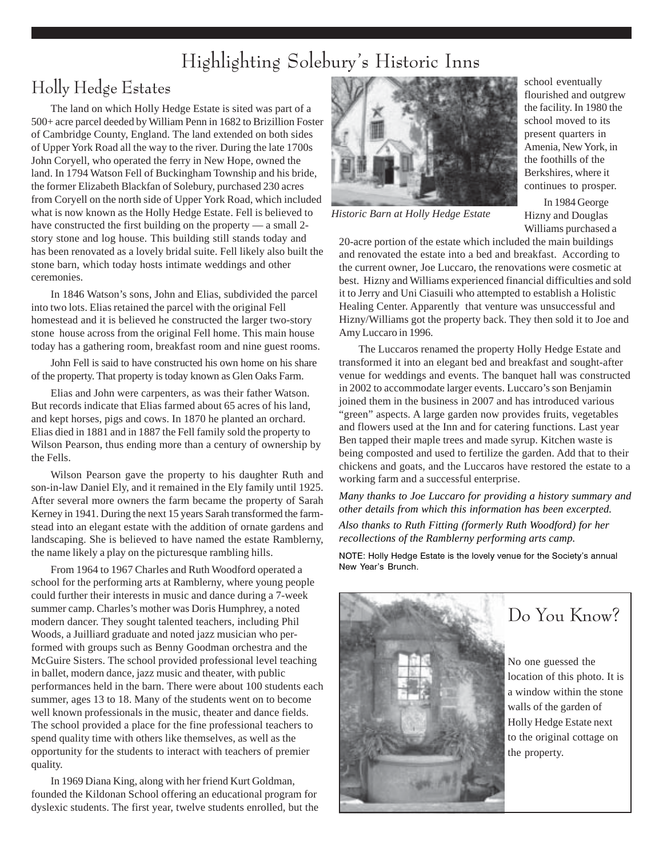### Highlighting Solebury's Historic Inns

### Holly Hedge Estates

The land on which Holly Hedge Estate is sited was part of a 500+ acre parcel deeded by William Penn in 1682 to Brizillion Foster of Cambridge County, England. The land extended on both sides of Upper York Road all the way to the river. During the late 1700s John Coryell, who operated the ferry in New Hope, owned the land. In 1794 Watson Fell of Buckingham Township and his bride, the former Elizabeth Blackfan of Solebury, purchased 230 acres from Coryell on the north side of Upper York Road, which included what is now known as the Holly Hedge Estate. Fell is believed to have constructed the first building on the property — a small 2story stone and log house. This building still stands today and has been renovated as a lovely bridal suite. Fell likely also built the stone barn, which today hosts intimate weddings and other ceremonies.

In 1846 Watson's sons, John and Elias, subdivided the parcel into two lots. Elias retained the parcel with the original Fell homestead and it is believed he constructed the larger two-story stone house across from the original Fell home. This main house today has a gathering room, breakfast room and nine guest rooms.

John Fell is said to have constructed his own home on his share of the property. That property is today known as Glen Oaks Farm.

Elias and John were carpenters, as was their father Watson. But records indicate that Elias farmed about 65 acres of his land, and kept horses, pigs and cows. In 1870 he planted an orchard. Elias died in 1881 and in 1887 the Fell family sold the property to Wilson Pearson, thus ending more than a century of ownership by the Fells.

Wilson Pearson gave the property to his daughter Ruth and son-in-law Daniel Ely, and it remained in the Ely family until 1925. After several more owners the farm became the property of Sarah Kerney in 1941. During the next 15 years Sarah transformed the farmstead into an elegant estate with the addition of ornate gardens and landscaping. She is believed to have named the estate Ramblerny, the name likely a play on the picturesque rambling hills.

From 1964 to 1967 Charles and Ruth Woodford operated a school for the performing arts at Ramblerny, where young people could further their interests in music and dance during a 7-week summer camp. Charles's mother was Doris Humphrey, a noted modern dancer. They sought talented teachers, including Phil Woods, a Juilliard graduate and noted jazz musician who performed with groups such as Benny Goodman orchestra and the McGuire Sisters. The school provided professional level teaching in ballet, modern dance, jazz music and theater, with public performances held in the barn. There were about 100 students each summer, ages 13 to 18. Many of the students went on to become well known professionals in the music, theater and dance fields. The school provided a place for the fine professional teachers to spend quality time with others like themselves, as well as the opportunity for the students to interact with teachers of premier quality.

In 1969 Diana King, along with her friend Kurt Goldman, founded the Kildonan School offering an educational program for dyslexic students. The first year, twelve students enrolled, but the



*Historic Barn at Holly Hedge Estate*

school eventually flourished and outgrew the facility. In 1980 the school moved to its present quarters in Amenia, New York, in the foothills of the Berkshires, where it continues to prosper.

In 1984 George Hizny and Douglas Williams purchased a

20-acre portion of the estate which included the main buildings and renovated the estate into a bed and breakfast. According to the current owner, Joe Luccaro, the renovations were cosmetic at best. Hizny and Williams experienced financial difficulties and sold it to Jerry and Uni Ciasuili who attempted to establish a Holistic Healing Center. Apparently that venture was unsuccessful and Hizny/Williams got the property back. They then sold it to Joe and Amy Luccaro in 1996.

The Luccaros renamed the property Holly Hedge Estate and transformed it into an elegant bed and breakfast and sought-after venue for weddings and events. The banquet hall was constructed in 2002 to accommodate larger events. Luccaro's son Benjamin joined them in the business in 2007 and has introduced various "green" aspects. A large garden now provides fruits, vegetables and flowers used at the Inn and for catering functions. Last year Ben tapped their maple trees and made syrup. Kitchen waste is being composted and used to fertilize the garden. Add that to their chickens and goats, and the Luccaros have restored the estate to a working farm and a successful enterprise.

*Many thanks to Joe Luccaro for providing a history summary and other details from which this information has been excerpted. Also thanks to Ruth Fitting (formerly Ruth Woodford) for her recollections of the Ramblerny performing arts camp.*

NOTE: Holly Hedge Estate is the lovely venue for the Society's annual New Year's Brunch.



Do You Know?

No one guessed the location of this photo. It is a window within the stone walls of the garden of Holly Hedge Estate next to the original cottage on the property.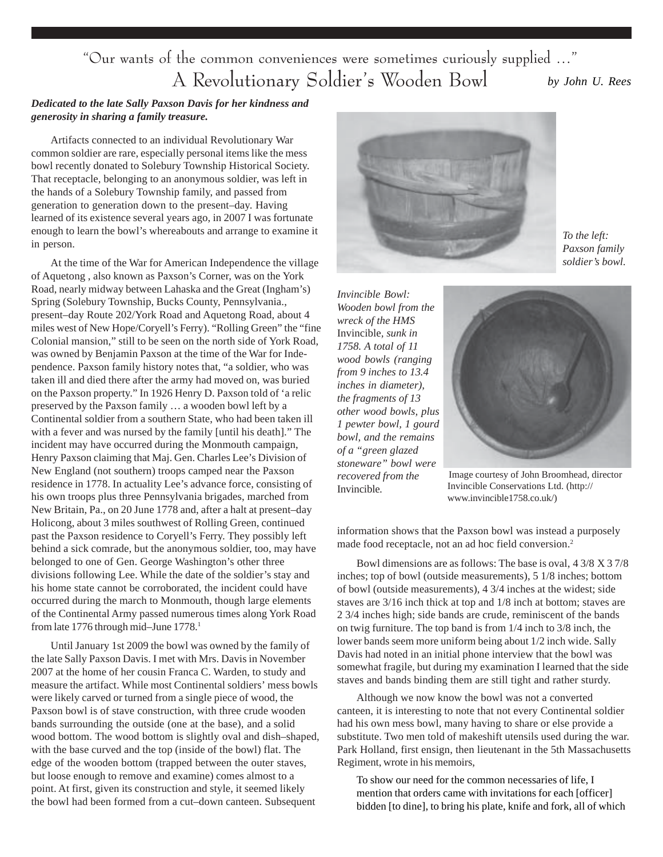"Our wants of the common conveniences were sometimes curiously supplied …" A Revolutionary Soldier's Wooden Bowl *by John U. Rees*

#### *Dedicated to the late Sally Paxson Davis for her kindness and generosity in sharing a family treasure.*

Artifacts connected to an individual Revolutionary War common soldier are rare, especially personal items like the mess bowl recently donated to Solebury Township Historical Society. That receptacle, belonging to an anonymous soldier, was left in the hands of a Solebury Township family, and passed from generation to generation down to the present–day. Having learned of its existence several years ago, in 2007 I was fortunate enough to learn the bowl's whereabouts and arrange to examine it in person.

At the time of the War for American Independence the village of Aquetong , also known as Paxson's Corner, was on the York Road, nearly midway between Lahaska and the Great (Ingham's) Spring (Solebury Township, Bucks County, Pennsylvania., present–day Route 202/York Road and Aquetong Road, about 4 miles west of New Hope/Coryell's Ferry). "Rolling Green" the "fine Colonial mansion," still to be seen on the north side of York Road, was owned by Benjamin Paxson at the time of the War for Independence. Paxson family history notes that, "a soldier, who was taken ill and died there after the army had moved on, was buried on the Paxson property." In 1926 Henry D. Paxson told of 'a relic preserved by the Paxson family … a wooden bowl left by a Continental soldier from a southern State, who had been taken ill with a fever and was nursed by the family [until his death]." The incident may have occurred during the Monmouth campaign, Henry Paxson claiming that Maj. Gen. Charles Lee's Division of New England (not southern) troops camped near the Paxson residence in 1778. In actuality Lee's advance force, consisting of his own troops plus three Pennsylvania brigades, marched from New Britain, Pa., on 20 June 1778 and, after a halt at present–day Holicong, about 3 miles southwest of Rolling Green, continued past the Paxson residence to Coryell's Ferry. They possibly left behind a sick comrade, but the anonymous soldier, too, may have belonged to one of Gen. George Washington's other three divisions following Lee. While the date of the soldier's stay and his home state cannot be corroborated, the incident could have occurred during the march to Monmouth, though large elements of the Continental Army passed numerous times along York Road from late 1776 through mid-June 1778.<sup>1</sup>

Until January 1st 2009 the bowl was owned by the family of the late Sally Paxson Davis. I met with Mrs. Davis in November 2007 at the home of her cousin Franca C. Warden, to study and measure the artifact. While most Continental soldiers' mess bowls were likely carved or turned from a single piece of wood, the Paxson bowl is of stave construction, with three crude wooden bands surrounding the outside (one at the base), and a solid wood bottom. The wood bottom is slightly oval and dish–shaped, with the base curved and the top (inside of the bowl) flat. The edge of the wooden bottom (trapped between the outer staves, but loose enough to remove and examine) comes almost to a point. At first, given its construction and style, it seemed likely the bowl had been formed from a cut–down canteen. Subsequent



*To the left: Paxson family soldier's bowl.*

*Invincible Bowl: Wooden bowl from the wreck of the HMS* Invincible*, sunk in 1758. A total of 11 wood bowls (ranging from 9 inches to 13.4 inches in diameter), the fragments of 13 other wood bowls, plus 1 pewter bowl, 1 gourd bowl, and the remains of a "green glazed stoneware" bowl were recovered from the* Invincible*.*



Image courtesy of John Broomhead, director Invincible Conservations Ltd. (http:// www.invincible1758.co.uk/)

information shows that the Paxson bowl was instead a purposely made food receptacle, not an ad hoc field conversion.<sup>2</sup>

Bowl dimensions are as follows: The base is oval, 4 3/8 X 3 7/8 inches; top of bowl (outside measurements), 5 1/8 inches; bottom of bowl (outside measurements), 4 3/4 inches at the widest; side staves are 3/16 inch thick at top and 1/8 inch at bottom; staves are 2 3/4 inches high; side bands are crude, reminiscent of the bands on twig furniture. The top band is from 1/4 inch to 3/8 inch, the lower bands seem more uniform being about 1/2 inch wide. Sally Davis had noted in an initial phone interview that the bowl was somewhat fragile, but during my examination I learned that the side staves and bands binding them are still tight and rather sturdy.

Although we now know the bowl was not a converted canteen, it is interesting to note that not every Continental soldier had his own mess bowl, many having to share or else provide a substitute. Two men told of makeshift utensils used during the war. Park Holland, first ensign, then lieutenant in the 5th Massachusetts Regiment, wrote in his memoirs,

To show our need for the common necessaries of life, I mention that orders came with invitations for each [officer] bidden [to dine], to bring his plate, knife and fork, all of which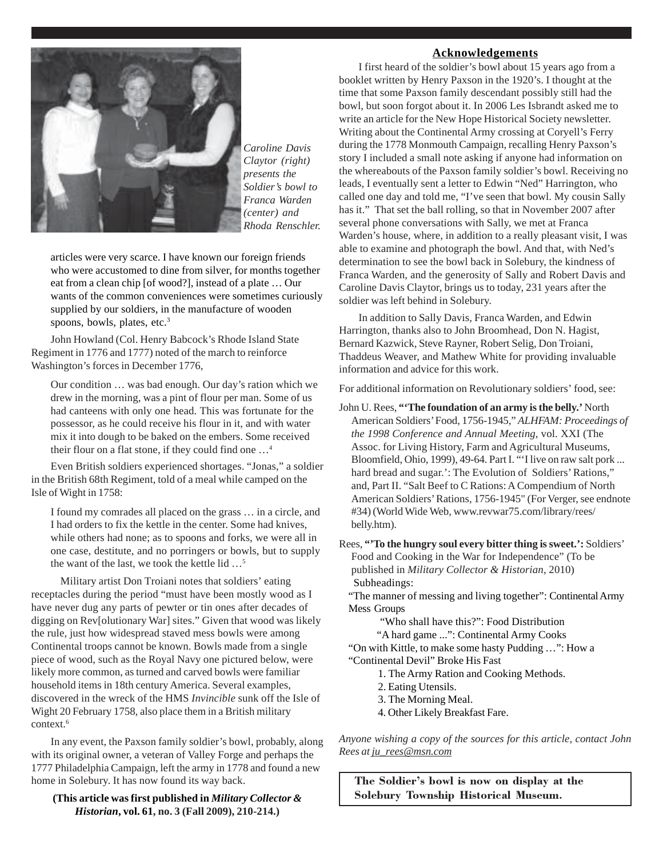

*Caroline Davis Claytor (right) presents the Soldier's bowl to Franca Warden (center) and Rhoda Renschler.*

articles were very scarce. I have known our foreign friends who were accustomed to dine from silver, for months together eat from a clean chip [of wood?], instead of a plate … Our wants of the common conveniences were sometimes curiously supplied by our soldiers, in the manufacture of wooden spoons, bowls, plates, etc.<sup>3</sup>

John Howland (Col. Henry Babcock's Rhode Island State Regiment in 1776 and 1777) noted of the march to reinforce Washington's forces in December 1776,

Our condition … was bad enough. Our day's ration which we drew in the morning, was a pint of flour per man. Some of us had canteens with only one head. This was fortunate for the possessor, as he could receive his flour in it, and with water mix it into dough to be baked on the embers. Some received their flour on a flat stone, if they could find one …4

Even British soldiers experienced shortages. "Jonas," a soldier in the British 68th Regiment, told of a meal while camped on the Isle of Wight in 1758:

I found my comrades all placed on the grass … in a circle, and I had orders to fix the kettle in the center. Some had knives, while others had none; as to spoons and forks, we were all in one case, destitute, and no porringers or bowls, but to supply the want of the last, we took the kettle lid …5

 Military artist Don Troiani notes that soldiers' eating receptacles during the period "must have been mostly wood as I have never dug any parts of pewter or tin ones after decades of digging on Rev[olutionary War] sites." Given that wood was likely the rule, just how widespread staved mess bowls were among Continental troops cannot be known. Bowls made from a single piece of wood, such as the Royal Navy one pictured below, were likely more common, as turned and carved bowls were familiar household items in 18th century America. Several examples, discovered in the wreck of the HMS *Invincible* sunk off the Isle of Wight 20 February 1758, also place them in a British military context.<sup>6</sup>

In any event, the Paxson family soldier's bowl, probably, along with its original owner, a veteran of Valley Forge and perhaps the 1777 Philadelphia Campaign, left the army in 1778 and found a new home in Solebury. It has now found its way back.

**(This article was first published in** *Military Collector & Historian***, vol. 61, no. 3 (Fall 2009), 210-214.)**

#### **Acknowledgements**

I first heard of the soldier's bowl about 15 years ago from a booklet written by Henry Paxson in the 1920's. I thought at the time that some Paxson family descendant possibly still had the bowl, but soon forgot about it. In 2006 Les Isbrandt asked me to write an article for the New Hope Historical Society newsletter. Writing about the Continental Army crossing at Coryell's Ferry during the 1778 Monmouth Campaign, recalling Henry Paxson's story I included a small note asking if anyone had information on the whereabouts of the Paxson family soldier's bowl. Receiving no leads, I eventually sent a letter to Edwin "Ned" Harrington, who called one day and told me, "I've seen that bowl. My cousin Sally has it." That set the ball rolling, so that in November 2007 after several phone conversations with Sally, we met at Franca Warden's house, where, in addition to a really pleasant visit, I was able to examine and photograph the bowl. And that, with Ned's determination to see the bowl back in Solebury, the kindness of Franca Warden, and the generosity of Sally and Robert Davis and Caroline Davis Claytor, brings us to today, 231 years after the soldier was left behind in Solebury.

In addition to Sally Davis, Franca Warden, and Edwin Harrington, thanks also to John Broomhead, Don N. Hagist, Bernard Kazwick, Steve Rayner, Robert Selig, Don Troiani, Thaddeus Weaver, and Mathew White for providing invaluable information and advice for this work.

For additional information on Revolutionary soldiers' food, see:

John U. Rees, **"'The foundation of an army is the belly.'** North American Soldiers' Food, 1756-1945," *ALHFAM: Proceedings of the 1998 Conference and Annual Meeting*, vol. XXI (The Assoc. for Living History, Farm and Agricultural Museums, Bloomfield, Ohio, 1999), 49-64. Part I. "'I live on raw salt pork ... hard bread and sugar.': The Evolution of Soldiers' Rations," and, Part II. "Salt Beef to C Rations: A Compendium of North American Soldiers' Rations, 1756-1945" (For Verger, see endnote #34) (World Wide Web, www.revwar75.com/library/rees/ belly.htm).

Rees, **"'To the hungry soul every bitter thing is sweet.':** Soldiers' Food and Cooking in the War for Independence" (To be published in *Military Collector & Historian*, 2010) Subheadings:

"The manner of messing and living together": Continental Army Mess Groups

"Who shall have this?": Food Distribution

"A hard game ...": Continental Army Cooks

"On with Kittle, to make some hasty Pudding …": How a "Continental Devil" Broke His Fast

- 1. The Army Ration and Cooking Methods.
- 2. Eating Utensils.
- 3. The Morning Meal.
- 4. Other Likely Breakfast Fare.

*Anyone wishing a copy of the sources for this article, contact John Rees at ju\_rees@msn.com*

The Soldier's bowl is now on display at the Solebury Township Historical Museum.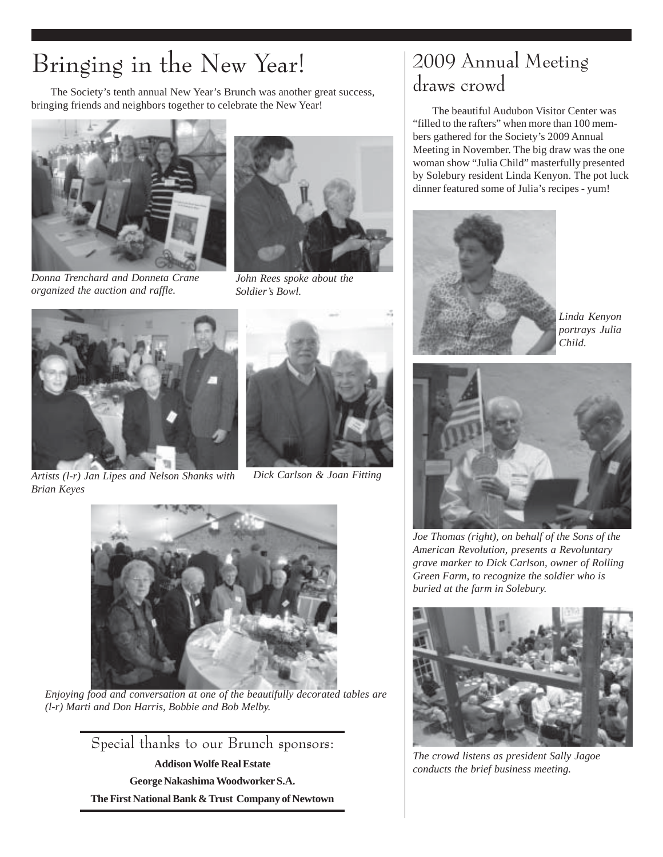# Bringing in the New Year!

The Society's tenth annual New Year's Brunch was another great success, bringing friends and neighbors together to celebrate the New Year!



*Donna Trenchard and Donneta Crane organized the auction and raffle.*



*John Rees spoke about the Soldier's Bowl.*





*Artists (l-r) Jan Lipes and Nelson Shanks with Brian Keyes*





*Enjoying food and conversation at one of the beautifully decorated tables are (l-r) Marti and Don Harris, Bobbie and Bob Melby.*

Special thanks to our Brunch sponsors: **Addison Wolfe Real Estate George Nakashima Woodworker S.A. The First National Bank & Trust Company of Newtown**

### 2009 Annual Meeting draws crowd

The beautiful Audubon Visitor Center was "filled to the rafters" when more than 100 members gathered for the Society's 2009 Annual Meeting in November. The big draw was the one woman show "Julia Child" masterfully presented by Solebury resident Linda Kenyon. The pot luck dinner featured some of Julia's recipes - yum!



*Linda Kenyon portrays Julia Child.*



*Joe Thomas (right), on behalf of the Sons of the American Revolution, presents a Revoluntary grave marker to Dick Carlson, owner of Rolling Green Farm, to recognize the soldier who is buried at the farm in Solebury.*



*The crowd listens as president Sally Jagoe conducts the brief business meeting.*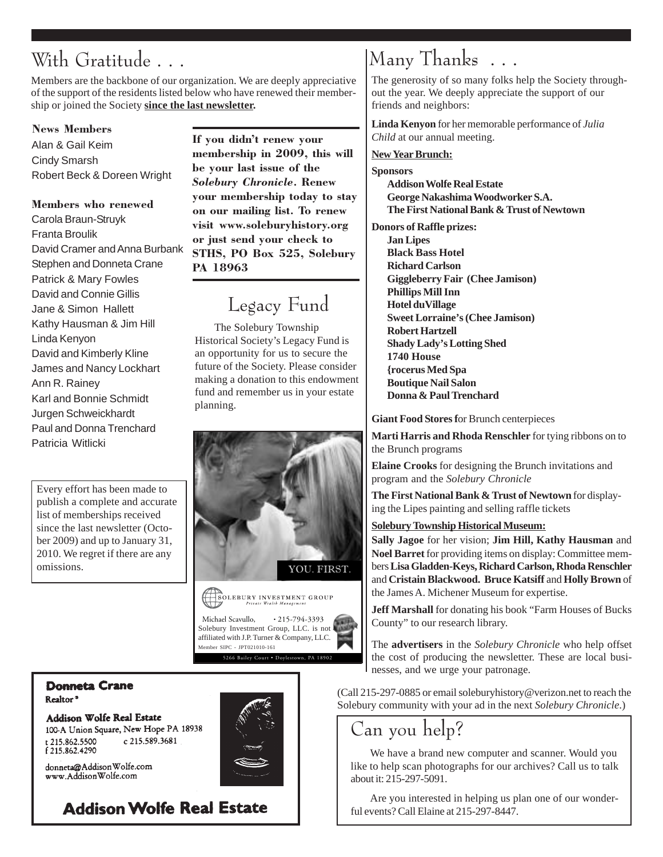# With Gratitude . . .

Members are the backbone of our organization. We are deeply appreciative of the support of the residents listed below who have renewed their membership or joined the Society **since the last newsletter.**

#### News Members

Alan & Gail Keim Cindy Smarsh Robert Beck & Doreen Wright

#### Members who renewed

Carola Braun-Struyk Franta Broulik David Cramer and Anna Burbank Stephen and Donneta Crane Patrick & Mary Fowles David and Connie Gillis Jane & Simon Hallett Kathy Hausman & Jim Hill Linda Kenyon David and Kimberly Kline James and Nancy Lockhart Ann R. Rainey Karl and Bonnie Schmidt Jurgen Schweickhardt Paul and Donna Trenchard Patricia Witlicki

Every effort has been made to publish a complete and accurate list of memberships received since the last newsletter (October 2009) and up to January 31, 2010. We regret if there are any omissions.

#### If you didn't renew your

membership in 2009, this will be your last issue of the Solebury Chronicle. Renew your membership today to stay on our mailing list. To renew visit www.soleburyhistory.org or just send your check to STHS, PO Box 525, Solebury PA 18963

### Legacy Fund

The Solebury Township Historical Society's Legacy Fund is an opportunity for us to secure the future of the Society. Please consider making a donation to this endowment fund and remember us in your estate planning.



### Many Thanks . . .

The generosity of so many folks help the Society throughout the year. We deeply appreciate the support of our friends and neighbors:

**Linda Kenyon** for her memorable performance of *Julia Child* at our annual meeting.

#### **New Year Brunch:**

**Sponsors**

**Addison Wolfe Real Estate George Nakashima Woodworker S.A. The First National Bank & Trust of Newtown**

**Donors of Raffle prizes: Jan Lipes**

**Black Bass Hotel Richard Carlson Giggleberry Fair (Chee Jamison) Phillips Mill Inn Hotel duVillage Sweet Lorraine's (Chee Jamison) Robert Hartzell Shady Lady's Lotting Shed 1740 House {rocerus Med Spa Boutique Nail Salon Donna & Paul Trenchard**

**Giant Food Stores f**or Brunch centerpieces

**Marti Harris and Rhoda Renschler** for tying ribbons on to the Brunch programs

**Elaine Crooks** for designing the Brunch invitations and program and the *Solebury Chronicle*

**The First National Bank & Trust of Newtown** for displaying the Lipes painting and selling raffle tickets

#### **Solebury Township Historical Museum:**

**Sally Jagoe** for her vision; **Jim Hill, Kathy Hausman** and **Noel Barret** for providing items on display: Committee members **Lisa Gladden-Keys, Richard Carlson, Rhoda Renschler** and **Cristain Blackwood. Bruce Katsiff** and **Holly Brown** of the James A. Michener Museum for expertise.

**Jeff Marshall** for donating his book "Farm Houses of Bucks County" to our research library.

The **advertisers** in the *Solebury Chronicle* who help offset the cost of producing the newsletter. These are local businesses, and we urge your patronage.

(Call 215-297-0885 or email soleburyhistory@verizon.net to reach the Solebury community with your ad in the next *Solebury Chronicle*.)

### Can you help?

We have a brand new computer and scanner. Would you like to help scan photographs for our archives? Call us to talk about it: 215-297-5091.

Are you interested in helping us plan one of our wonderful events? Call Elaine at 215-297-8447.

#### **Donneta Crane** Realtor<sup>®</sup>

**Addison Wolfe Real Estate** 100-A Union Square, New Hope PA 18938 t 215.862.5500 c 215.589.3681 f 215.862.4290

donneta@AddisonWolfe.com www.AddisonWolfe.com

### **Addison Wolfe Real Estate**